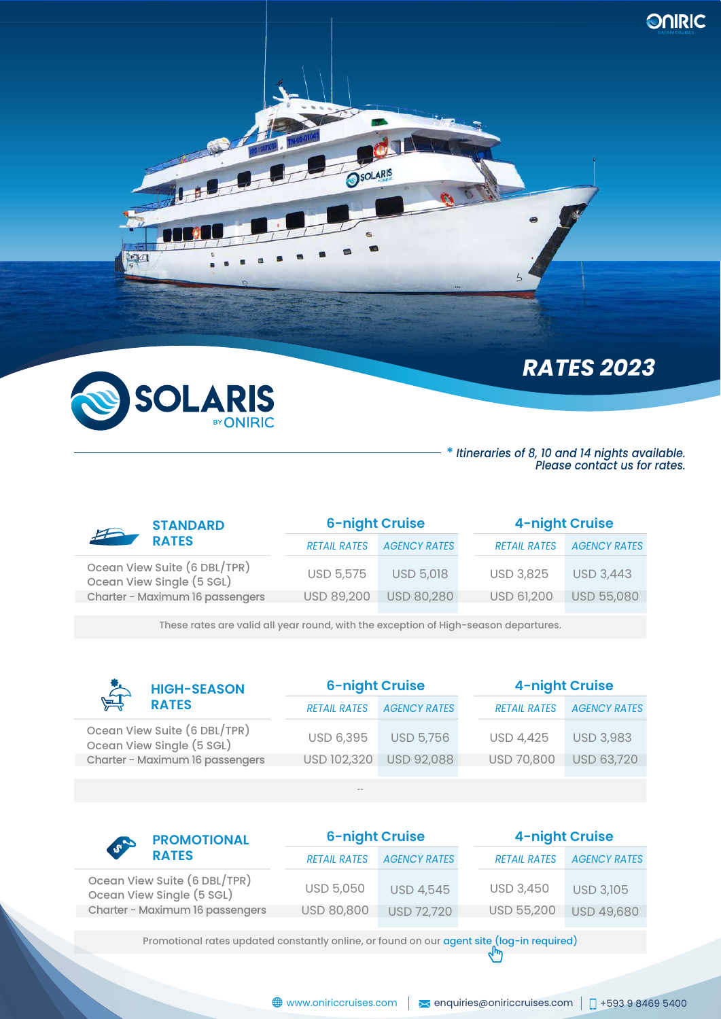

m

 $\overline{\phantom{a}}$ 

# *RATES 2023*

**ONRIC** 

#### **\*** *Itineraries of 8, 10 and 14 nights available. Please contact us for rates.*

| <b>STANDARD</b>                                           | <b>6-night Cruise</b> |                     | 4-night Cruise      |                     |  |
|-----------------------------------------------------------|-----------------------|---------------------|---------------------|---------------------|--|
| $\mathcal{F}$<br><b>RATES</b>                             | <b>RETAIL RATES</b>   | <b>AGENCY RATES</b> | <b>RETAIL RATES</b> | <b>AGENCY RATES</b> |  |
| Ocean View Suite (6 DBL/TPR)<br>Ocean View Single (5 SGL) | USD 5,575             | <b>USD 5,018</b>    | <b>USD 3,825</b>    | <b>USD 3,443</b>    |  |
| Charter - Maximum 16 passengers                           | <b>USD 89,200</b>     | USD 80,280          | USD 61,200          | <b>USD 55,080</b>   |  |

SOLARIS

These rates are valid all year round, with the exception of High-season departures.

| $\sum_{n=1}^{\infty}$<br><b>HIGH-SEASON</b> |                                                           |                     | <b>6-night Cruise</b> |                     | <b>4-night Cruise</b> |                  |  |
|---------------------------------------------|-----------------------------------------------------------|---------------------|-----------------------|---------------------|-----------------------|------------------|--|
| <b>RATES</b>                                | <b>RETAIL RATES</b>                                       | <b>AGENCY RATES</b> |                       | <b>RETAIL RATES</b> | <b>AGENCY RATES</b>   |                  |  |
|                                             | Ocean View Suite (6 DBL/TPR)<br>Ocean View Single (5 SGL) | <b>USD 6,395</b>    | <b>USD 5,756</b>      |                     | <b>USD 4,425</b>      | <b>USD 3,983</b> |  |
|                                             | Charter - Maximum 16 passengers                           | USD 102,320         | <b>USD 92,088</b>     |                     | USD 70,800            | USD 63,720       |  |
|                                             |                                                           |                     |                       |                     |                       |                  |  |
|                                             |                                                           | $\cdots$            |                       |                     |                       |                  |  |

|                     |                     | <b>4-night Cruise</b> |                     |  |
|---------------------|---------------------|-----------------------|---------------------|--|
| <b>RETAIL RATES</b> | <b>AGENCY RATES</b> | <b>RETAIL RATES</b>   | <b>AGENCY RATES</b> |  |
| <b>USD 5,050</b>    | <b>USD 4,545</b>    | <b>USD 3,450</b>      | <b>USD 3,105</b>    |  |
| USD 80,800          | <b>USD 72,720</b>   | <b>USD 55,200</b>     | USD 49,680          |  |
|                     |                     | <b>6-night Cruise</b> |                     |  |

Promotional rates updated constantly online, or found on our agent site (log-in required)  $\binom{h_m}{h_m}$